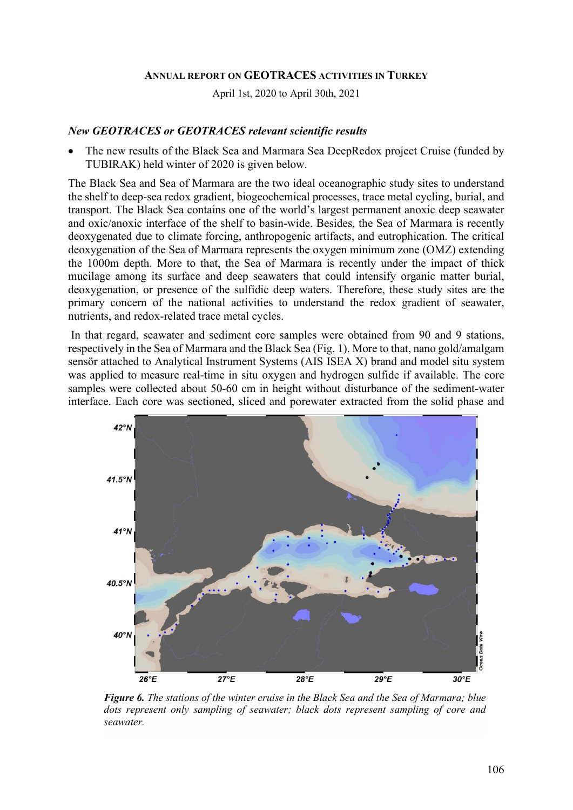### ANNUAL REPORT ON GEOTRACES ACTIVITIES IN TURKEY

April 1st, 2020 to April 30th, 2021

#### New GEOTRACES or GEOTRACES relevant scientific results

 The new results of the Black Sea and Marmara Sea DeepRedox project Cruise (funded by TUBIRAK) held winter of 2020 is given below.

The Black Sea and Sea of Marmara are the two ideal oceanographic study sites to understand the shelf to deep-sea redox gradient, biogeochemical processes, trace metal cycling, burial, and transport. The Black Sea contains one of the world's largest permanent anoxic deep seawater and oxic/anoxic interface of the shelf to basin-wide. Besides, the Sea of Marmara is recently deoxygenated due to climate forcing, anthropogenic artifacts, and eutrophication. The critical deoxygenation of the Sea of Marmara represents the oxygen minimum zone (OMZ) extending the 1000m depth. More to that, the Sea of Marmara is recently under the impact of thick mucilage among its surface and deep seawaters that could intensify organic matter burial, deoxygenation, or presence of the sulfidic deep waters. Therefore, these study sites are the primary concern of the national activities to understand the redox gradient of seawater, nutrients, and redox-related trace metal cycles.

 In that regard, seawater and sediment core samples were obtained from 90 and 9 stations, respectively in the Sea of Marmara and the Black Sea (Fig. 1). More to that, nano gold/amalgam sensör attached to Analytical Instrument Systems (AIS ISEA X) brand and model situ system was applied to measure real-time in situ oxygen and hydrogen sulfide if available. The core samples were collected about 50-60 cm in height without disturbance of the sediment-water interface. Each core was sectioned, sliced and porewater extracted from the solid phase and



Figure 6. The stations of the winter cruise in the Black Sea and the Sea of Marmara; blue dots represent only sampling of seawater; black dots represent sampling of core and seawater.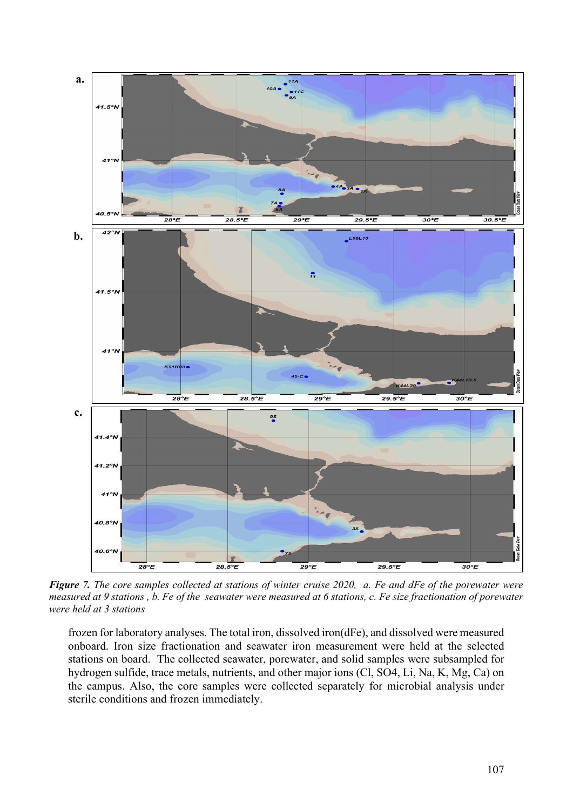

Figure 7. The core samples collected at stations of winter cruise 2020, a. Fe and dFe of the porewater were measured at 9 stations , b. Fe of the seawater were measured at 6 stations, c. Fe size fractionation of porewater were held at 3 stations

frozen for laboratory analyses. The total iron, dissolved iron(dFe), and dissolved were measured onboard. Iron size fractionation and seawater iron measurement were held at the selected stations on board. The collected seawater, porewater, and solid samples were subsampled for hydrogen sulfide, trace metals, nutrients, and other major ions (Cl, SO4, Li, Na, K, Mg, Ca) on the campus. Also, the core samples were collected separately for microbial analysis under sterile conditions and frozen immediately.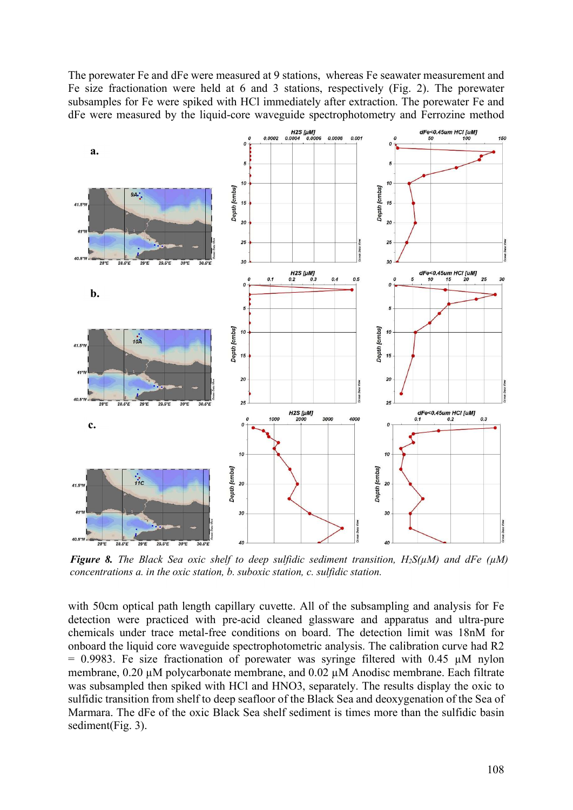The porewater Fe and dFe were measured at 9 stations, whereas Fe seawater measurement and Fe size fractionation were held at 6 and 3 stations, respectively (Fig. 2). The porewater subsamples for Fe were spiked with HCl immediately after extraction. The porewater Fe and dFe were measured by the liquid-core waveguide spectrophotometry and Ferrozine method



**Figure 8.** The Black Sea oxic shelf to deep sulfidic sediment transition,  $H_2S(\mu M)$  and dFe ( $\mu M$ ) concentrations a. in the oxic station, b. suboxic station, c. sulfidic station.

with 50cm optical path length capillary cuvette. All of the subsampling and analysis for Fe detection were practiced with pre-acid cleaned glassware and apparatus and ultra-pure chemicals under trace metal-free conditions on board. The detection limit was 18nM for onboard the liquid core waveguide spectrophotometric analysis. The calibration curve had R2  $= 0.9983$ . Fe size fractionation of porewater was syringe filtered with 0.45  $\mu$ M nylon membrane, 0.20 µM polycarbonate membrane, and 0.02 µM Anodisc membrane. Each filtrate was subsampled then spiked with HCl and HNO3, separately. The results display the oxic to sulfidic transition from shelf to deep seafloor of the Black Sea and deoxygenation of the Sea of Marmara. The dFe of the oxic Black Sea shelf sediment is times more than the sulfidic basin sediment(Fig. 3).